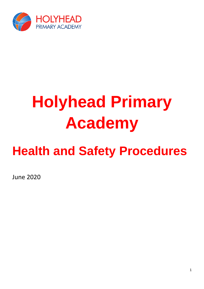

# **Holyhead Primary Academy**

# **Health and Safety Procedures**

June 2020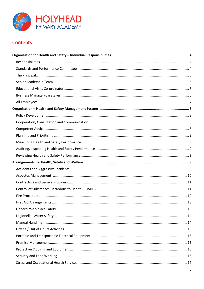

# Contents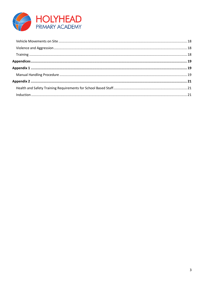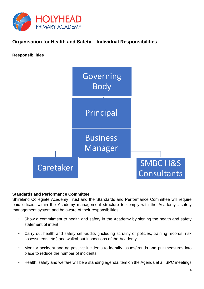

# <span id="page-3-0"></span>**Organisation for Health and Safety – Individual Responsibilities**

<span id="page-3-1"></span>**Responsibilities** 



#### <span id="page-3-2"></span>**Standards and Performance Committee**

Shireland Collegiate Academy Trust and the Standards and Performance Committee will require paid officers within the Academy management structure to comply with the Academy's safety management system and be aware of their responsibilities.

- Show a commitment to health and safety in the Academy by signing the health and safety statement of intent
- Carry out health and safety self-audits (including scrutiny of policies, training records, risk assessments etc.) and walkabout inspections of the Academy
- Monitor accident and aggressive incidents to identify issues/trends and put measures into place to reduce the number of incidents
- Health, safety and welfare will be a standing agenda item on the Agenda at all SPC meetings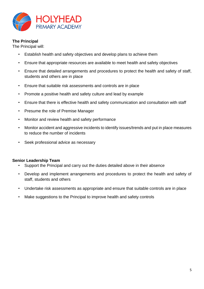

#### <span id="page-4-0"></span>**The Principal**

The Principal will:

- Establish health and safety objectives and develop plans to achieve them
- Ensure that appropriate resources are available to meet health and safety objectives
- Ensure that detailed arrangements and procedures to protect the health and safety of staff, students and others are in place
- Ensure that suitable risk assessments and controls are in place
- Promote a positive health and safety culture and lead by example
- Ensure that there is effective health and safety communication and consultation with staff
- Presume the role of Premise Manager
- Monitor and review health and safety performance
- Monitor accident and aggressive incidents to identify issues/trends and put in place measures to reduce the number of incidents
- Seek professional advice as necessary

#### <span id="page-4-1"></span>**Senior Leadership Team**

- Support the Principal and carry out the duties detailed above in their absence
- Develop and implement arrangements and procedures to protect the health and safety of staff, students and others
- Undertake risk assessments as appropriate and ensure that suitable controls are in place
- Make suggestions to the Principal to improve health and safety controls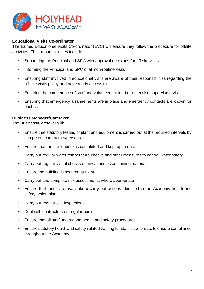

#### <span id="page-5-0"></span>**Educational Visits Co-ordinator**

The trained Educational Visits Co-ordinator (EVC) will ensure they follow the procedure for offsite activities. Their responsibilities include:

- Supporting the Principal and SPC with approval decisions for off site visits
- Informing the Principal and SPC of all non-routine visits
- Ensuring staff involved in educational visits are aware of their responsibilities regarding the off-site visits policy and have ready access to it
- Ensuring the competence of staff and volunteers to lead or otherwise supervise a visit
- Ensuring that emergency arrangements are in place and emergency contacts are known for each visit

#### <span id="page-5-1"></span>**Business Manager/Caretaker**

The Business/Caretaker will:

- Ensure that statutory testing of plant and equipment is carried out at the required intervals by competent contractors/persons
- Ensure that the fire logbook is completed and kept up to date
- Carry out regular water temperature checks and other measures to control water safety
- Carry out regular visual checks of any asbestos containing materials
- Ensure the building is secured at night
- Carry out and complete risk assessments where appropriate
- Ensure that funds are available to carry out actions identified in the Academy health and safety action plan
- Carry out regular site inspections
- Deal with contractors on regular basis
- Ensure that all staff understand health and safety procedures
- Ensure statutory health and safety-related training for staff is up-to-date to ensure compliance throughout the Academy.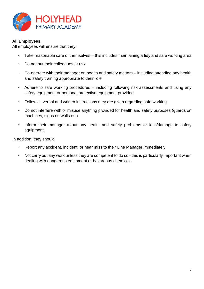

#### <span id="page-6-0"></span>**All Employees**

All employees will ensure that they:

- Take reasonable care of themselves this includes maintaining a tidy and safe working area
- Do not put their colleagues at risk
- Co-operate with their manager on health and safety matters including attending any health and safety training appropriate to their role
- Adhere to safe working procedures including following risk assessments and using any safety equipment or personal protective equipment provided
- Follow all verbal and written instructions they are given regarding safe working
- Do not interfere with or misuse anything provided for health and safety purposes (guards on machines, signs on walls etc)
- Inform their manager about any health and safety problems or loss/damage to safety equipment

In addition, they should:

- Report any accident, incident, or near miss to their Line Manager immediately
- Not carry out any work unless they are competent to do so this is particularly important when dealing with dangerous equipment or hazardous chemicals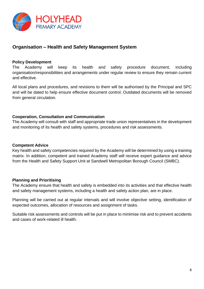

## <span id="page-7-0"></span>**Organisation – Health and Safety Management System**

#### <span id="page-7-1"></span>**Policy Development**

The Academy will keep its health and safety procedure document, including organisation/responsibilities and arrangements under regular review to ensure they remain current and effective.

All local plans and procedures, and revisions to them will be authorised by the Principal and SPC and will be dated to help ensure effective document control. Outdated documents will be removed from general circulation.

#### <span id="page-7-2"></span>**Cooperation, Consultation and Communication**

The Academy will consult with staff and appropriate trade union representatives in the development and monitoring of its health and safety systems, procedures and risk assessments.

#### <span id="page-7-3"></span>**Competent Advice**

Key health and safety competencies required by the Academy will be determined by using a training matrix. In addition, competent and trained Academy staff will receive expert guidance and advice from the Health and Safety Support Unit at Sandwell Metropolitan Borough Council (SMBC).

#### <span id="page-7-4"></span>**Planning and Prioritising**

The Academy ensure that health and safety is embedded into its activities and that effective health and safety management systems, including a health and safety action plan, are in place.

Planning will be carried out at regular intervals and will involve objective setting, identification of expected outcomes, allocation of resources and assignment of tasks.

Suitable risk assessments and controls will be put in place to minimise risk and to prevent accidents and cases of work-related ill health.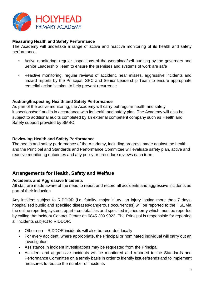

#### <span id="page-8-0"></span>**Measuring Health and Safety Performance**

The Academy will undertake a range of active and reactive monitoring of its health and safety performance.

- Active monitoring: regular inspections of the workplace/self-auditing by the governors and Senior Leadership Team to ensure the premises and systems of work are safe
- Reactive monitoring: regular reviews of accident, near misses, aggressive incidents and hazard reports by the Principal, SPC and Senior Leadership Team to ensure appropriate remedial action is taken to help prevent recurrence

#### <span id="page-8-1"></span>**Auditing/Inspecting Health and Safety Performance**

As part of the active monitoring, the Academy will carry out regular health and safety inspections/self-audits in accordance with its health and safety plan. The Academy will also be subject to additional audits completed by an external competent company such as Health and Safety support provided by SMBC.

#### <span id="page-8-2"></span>**Reviewing Health and Safety Performance**

The health and safety performance of the Academy, including progress made against the health and the Principal and Standards and Performance Committee will evaluate safety plan, active and reactive monitoring outcomes and any policy or procedure reviews each term.

### <span id="page-8-3"></span>**Arrangements for Health, Safety and Welfare**

#### <span id="page-8-4"></span>**Accidents and Aggressive Incidents**

All staff are made aware of the need to report and record all accidents and aggressive incidents as part of their induction

Any incident subject to RIDDOR (i.e. fatality, major injury, an injury lasting more than 7 days, hospitalised public and specified diseases/dangerous occurrences) will be reported to the HSE via the online reporting system, apart from fatalities and specified injuries **only** which must be reported by calling the Incident Contact Centre on 0845 300 9923. The Principal is responsible for reporting all incidents subject to RIDDOR.

- Other non RIDDOR incidents will also be recorded locally
- For every accident, where appropriate, the Principal or nominated individual will carry out an investigation
- Assistance in incident investigations may be requested from the Principal
- Accident and aggressive incidents will be monitored and reported to the Standards and Performance Committee on a termly basis in order to identify issues/trends and to implement measures to reduce the number of incidents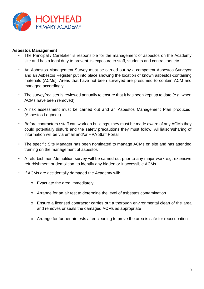

#### <span id="page-9-0"></span>**Asbestos Management**

- The Principal / Caretaker is responsible for the management of asbestos on the Academy site and has a legal duty to prevent its exposure to staff, students and contractors etc.
- An Asbestos Management Survey must be carried out by a competent Asbestos Surveyor and an Asbestos Register put into place showing the location of known asbestos-containing materials (ACMs). Areas that have not been surveyed are presumed to contain ACM and managed accordingly
- The survey/register is reviewed annually to ensure that it has been kept up to date (e.g. when ACMs have been removed)
- A risk assessment must be carried out and an Asbestos Management Plan produced. (Asbestos Logbook)
- Before contractors / staff can work on buildings, they must be made aware of any ACMs they could potentially disturb and the safety precautions they must follow. All liaison/sharing of information will be via email and/or HPA Staff Portal
- The specific Site Manager has been nominated to manage ACMs on site and has attended training on the management of asbestos
- A refurbishment/demolition survey will be carried out prior to any major work e.g. extensive refurbishment or demolition, to identify any hidden or inaccessible ACMs
- If ACMs are accidentally damaged the Academy will:
	- o Evacuate the area immediately
	- o Arrange for an air test to determine the level of asbestos contamination
	- o Ensure a licensed contractor carries out a thorough environmental clean of the area and removes or seals the damaged ACMs as appropriate
	- o Arrange for further air tests after cleaning to prove the area is safe for reoccupation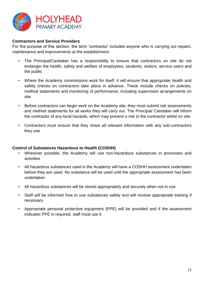

#### <span id="page-10-0"></span>**Contractors and Service Providers**

For the purpose of this section, the term 'contractor' includes anyone who is carrying out repairs, maintenance and improvements at the establishment.

- The Principal/Caretaker has a responsibility to ensure that contractors on site do not endanger the health, safety and welfare of employees, students, visitors, service users and the public
- Where the Academy commissions work for itself, it will ensure that appropriate health and safety checks on contractors take place in advance. These include checks on policies, method statements and monitoring of performance, including supervision arrangements on site
- Before contractors can begin work on the Academy site, they must submit risk assessments and method statements for all works they will carry out. The Principal/ Caretaker will inform the contractor of any local hazards, which may present a risk to the contractor whilst on site
- Contractors must ensure that they share all relevant information with any sub-contractors they use

#### <span id="page-10-1"></span>**Control of Substances Hazardous to Health (COSHH)**

- Wherever possible, the Academy will use non-hazardous substances in processes and activities
- All hazardous substances used in the Academy will have a COSHH assessment undertaken before they are used. No substance will be used until the appropriate assessment has been undertaken
- All hazardous substances will be stored appropriately and securely when not in use
- Staff will be informed how to use substances safely and will receive appropriate training if necessary
- Appropriate personal protective equipment (PPE) will be provided and if the assessment indicates PPE is required, staff must use it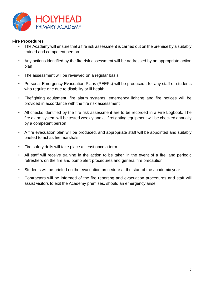

#### <span id="page-11-0"></span>**Fire Procedures**

- The Academy will ensure that a fire risk assessment is carried out on the premise by a suitably trained and competent person
- Any actions identified by the fire risk assessment will be addressed by an appropriate action plan
- The assessment will be reviewed on a regular basis
- Personal Emergency Evacuation Plans (PEEPs) will be produced t for any staff or students who require one due to disability or ill health
- Firefighting equipment, fire alarm systems, emergency lighting and fire notices will be provided in accordance with the fire risk assessment
- All checks identified by the fire risk assessment are to be recorded in a Fire Logbook. The fire alarm system will be tested weekly and all firefighting equipment will be checked annually by a competent person
- A fire evacuation plan will be produced, and appropriate staff will be appointed and suitably briefed to act as fire marshals
- Fire safety drills will take place at least once a term
- All staff will receive training in the action to be taken in the event of a fire, and periodic refreshers on the fire and bomb alert procedures and general fire precaution
- Students will be briefed on the evacuation procedure at the start of the academic year
- Contractors will be informed of the fire reporting and evacuation procedures and staff will assist visitors to exit the Academy premises, should an emergency arise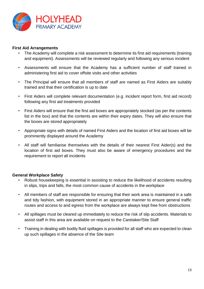

#### <span id="page-12-0"></span>**First Aid Arrangements**

- The Academy will complete a risk assessment to determine its first aid requirements (training and equipment). Assessments will be reviewed regularly and following any serious incident
- Assessments will ensure that the Academy has a sufficient number of staff trained in administering first aid to cover offsite visits and other activities
- The Principal will ensure that all members of staff are named as First Aiders are suitably trained and that their certification is up to date
- First Aiders will complete relevant documentation (e.g. incident report form, first aid record) following any first aid treatments provided
- First Aiders will ensure that the first aid boxes are appropriately stocked (as per the contents list in the box) and that the contents are within their expiry dates. They will also ensure that the boxes are stored appropriately
- Appropriate signs with details of named First Aiders and the location of first aid boxes will be prominently displayed around the Academy
- All staff will familiarise themselves with the details of their nearest First Aider(s) and the location of first aid boxes. They must also be aware of emergency procedures and the requirement to report all incidents

#### <span id="page-12-1"></span>**General Workplace Safety**

- Robust housekeeping is essential in assisting to reduce the likelihood of accidents resulting in slips, trips and falls, the most common cause of accidents in the workplace
- All members of staff are responsible for ensuring that their work area is maintained in a safe and tidy fashion, with equipment stored in an appropriate manner to ensure general traffic routes and access to and egress from the workplace are always kept free from obstructions
- All spillages must be cleared up immediately to reduce the risk of slip accidents. Materials to assist staff in this area are available on request to the Caretaker/Site Staff
- Training in dealing with bodily fluid spillages is provided for all staff who are expected to clean up such spillages in the absence of the Site team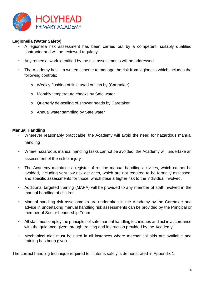

#### <span id="page-13-0"></span>**Legionella (Water Safety)**

- A legionella risk assessment has been carried out by a competent, suitably qualified contractor and will be reviewed regularly
- Any remedial work identified by the risk assessments will be addressed
- The Academy has a written scheme to manage the risk from legionella which includes the following controls:
	- o Weekly flushing of little used outlets by (Caretaker)
	- o Monthly temperature checks by Safe water
	- o Quarterly de-scaling of shower heads by Caretaker
	- o Annual water sampling by Safe water

#### <span id="page-13-1"></span>**Manual Handling**

- Wherever reasonably practicable, the Academy will avoid the need for hazardous manual handling
- Where hazardous manual handling tasks cannot be avoided, the Academy will undertake an assessment of the risk of injury
- The Academy maintains a register of routine manual handling activities, which cannot be avoided, including very low risk activities, which are not required to be formally assessed, and specific assessments for those, which pose a higher risk to the individual involved.
- Additional targeted training (MAPA) will be provided to any member of staff involved in the manual handling of children
- Manual handling risk assessments are undertaken in the Academy by the Caretaker and advice in undertaking manual handling risk assessments can be provided by the Principal or member of Senior Leadership Team
- All staff must employ the principles of safe manual handling techniques and act in accordance with the guidance given through training and instruction provided by the Academy
- Mechanical aids must be used in all instances where mechanical aids are available and training has been given

The correct handling technique required to lift items safely is demonstrated in Appendix 1.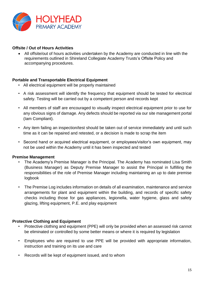

#### <span id="page-14-0"></span>**Offsite / Out of Hours Activities**

 All offsite/out of hours activities undertaken by the Academy are conducted in line with the requirements outlined in Shireland Collegiate Academy Trusts's Offsite Policy and accompanying procedures.

#### <span id="page-14-1"></span>**Portable and Transportable Electrical Equipment**

- All electrical equipment will be properly maintained
- A risk assessment will identify the frequency that equipment should be tested for electrical safety. Testing will be carried out by a competent person and records kept
- All members of staff are encouraged to visually inspect electrical equipment prior to use for any obvious signs of damage. Any defects should be reported via our site management portal (Iam Compliant).
- Any item failing an inspection/test should be taken out of service immediately and until such time as it can be repaired and retested, or a decision is made to scrap the item
- Second hand or acquired electrical equipment, or employees/visitor's own equipment, may not be used within the Academy until it has been inspected and tested

#### <span id="page-14-2"></span>**Premise Management**

- The Academy's Premise Manager is the Principal. The Academy has nominated Lisa Smith (Business Manager) as Deputy Premise Manager to assist the Principal in fulfilling the responsibilities of the role of Premise Manager including maintaining an up to date premise logbook
- The Premise Log includes information on details of all examination, maintenance and service arrangements for plant and equipment within the building, and records of specific safety checks including those for gas appliances, legionella, water hygiene, glass and safety glazing, lifting equipment, P.E. and play equipment

#### <span id="page-14-3"></span>**Protective Clothing and Equipment**

- Protective clothing and equipment (PPE) will only be provided when an assessed risk cannot be eliminated or controlled by some better means or where it is required by legislation
- Employees who are required to use PPE will be provided with appropriate information, instruction and training on its use and care
- Records will be kept of equipment issued, and to whom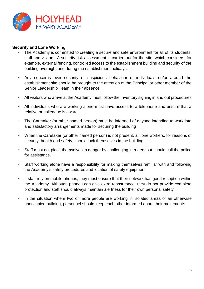

#### <span id="page-15-0"></span>**Security and Lone Working**

- The Academy is committed to creating a secure and safe environment for all of its students, staff and visitors. A security risk assessment is carried out for the site, which considers, for example, external fencing, controlled access to the establishment building and security of the building overnight and during the establishment holidays.
- Any concerns over security or suspicious behaviour of individuals on/or around the establishment site should be brought to the attention of the Principal or other member of the Senior Leadership Team in their absence.
- All visitors who arrive at the Academy must follow the Inventory signing in and out procedures
- All individuals who are working alone must have access to a telephone and ensure that a relative or colleague is aware
- The Caretaker (or other named person) must be informed of anyone intending to work late and satisfactory arrangements made for securing the building
- When the Caretaker (or other named person) is not present, all lone workers, for reasons of security, health and safety, should lock themselves in the building
- Staff must not place themselves in danger by challenging intruders but should call the police for assistance.
- Staff working alone have a responsibility for making themselves familiar with and following the Academy's safety procedures and location of safety equipment
- If staff rely on mobile phones, they must ensure that their network has good reception within the Academy. Although phones can give extra reassurance, they do not provide complete protection and staff should always maintain alertness for their own personal safety
- In the situation where two or more people are working in isolated areas of an otherwise unoccupied building, personnel should keep each other informed about their movements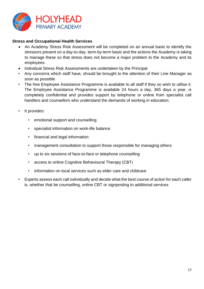

#### <span id="page-16-0"></span>**Stress and Occupational Health Services**

- An Academy Stress Risk Assessment will be completed on an annual basis to identify the stressors present on a day-to-day, term-by-term basis and the actions the Academy is taking to manage these so that stress does not become a major problem to the Academy and its employees.
- Individual Stress Risk Assessments are undertaken by the Principal
- Any concerns which staff have, should be brought to the attention of their Line Manager as soon as possible
- The free Employee Assistance Programme is available to all staff if they so wish to utilise it. The Employee Assistance Programme is available 24 hours a day, 365 days a year, is completely confidential and provides support by telephone or online from specialist call handlers and counsellors who understand the demands of working in education.
- It provides:
	- emotional support and counselling
	- specialist information on work-life balance
	- financial and legal information
	- management consultation to support those responsible for managing others
	- up to six sessions of face-to-face or telephone counselling
	- access to online Cognitive Behavioural Therapy (CBT)
	- information on local services such as elder care and childcare
- Experts assess each call individually and decide what the best course of action for each caller is, whether that be counselling, online CBT or signposting to additional services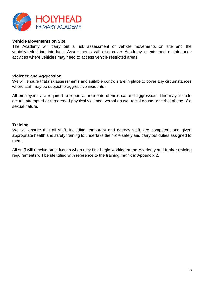

#### <span id="page-17-0"></span>**Vehicle Movements on Site**

The Academy will carry out a risk assessment of vehicle movements on site and the vehicle/pedestrian interface. Assessments will also cover Academy events and maintenance activities where vehicles may need to access vehicle restricted areas.

#### <span id="page-17-1"></span>**Violence and Aggression**

We will ensure that risk assessments and suitable controls are in place to cover any circumstances where staff may be subject to aggressive incidents.

All employees are required to report all incidents of violence and aggression. This may include actual, attempted or threatened physical violence, verbal abuse, racial abuse or verbal abuse of a sexual nature.

#### <span id="page-17-2"></span>**Training**

We will ensure that all staff, including temporary and agency staff, are competent and given appropriate health and safety training to undertake their role safely and carry out duties assigned to them.

All staff will receive an induction when they first begin working at the Academy and further training requirements will be identified with reference to the training matrix in Appendix 2.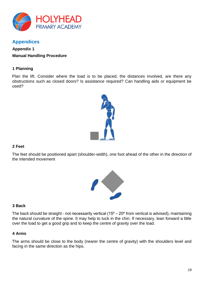

# <span id="page-18-0"></span>**Appendices**

# <span id="page-18-2"></span><span id="page-18-1"></span>**Appendix 1 Manual Handling Procedure**

#### **1 Planning**

Plan the lift. Consider where the load is to be placed, the distances involved, are there any obstructions such as closed doors? Is assistance required? Can handling aids or equipment be used?



#### **2 Feet**

The feet should be positioned apart (shoulder-width), one foot ahead of the other in the direction of the intended movement



#### **3 Back**

The back should be straight - not necessarily vertical ( $15^{\circ} - 20^{\circ}$  from vertical is advised), maintaining the natural curvature of the spine. It may help to tuck in the chin. If necessary, lean forward a little over the load to get a good grip and to keep the centre of gravity over the load.

#### **4 Arms**

The arms should be close to the body (nearer the centre of gravity) with the shoulders level and facing in the same direction as the hips.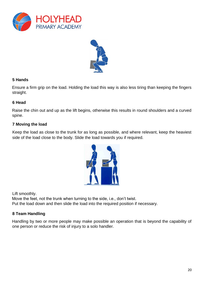



#### **5 Hands**

Ensure a firm grip on the load. Holding the load this way is also less tiring than keeping the fingers straight.

#### **6 Head**

Raise the chin out and up as the lift begins, otherwise this results in round shoulders and a curved spine.

#### **7 Moving the load**

Keep the load as close to the trunk for as long as possible, and where relevant, keep the heaviest side of the load close to the body. Slide the load towards you if required.



Lift smoothly.

Move the feet, not the trunk when turning to the side, i.e., don't twist. Put the load down and then slide the load into the required position if necessary.

#### **8 Team Handling**

Handling by two or more people may make possible an operation that is beyond the capability of one person or reduce the risk of injury to a solo handler.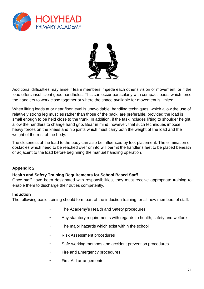



Additional difficulties may arise if team members impede each other's vision or movement, or if the load offers insufficient good handholds. This can occur particularly with compact loads, which force the handlers to work close together or where the space available for movement is limited.

When lifting loads at or near floor level is unavoidable, handling techniques, which allow the use of relatively strong leg muscles rather than those of the back, are preferable, provided the load is small enough to be held close to the trunk. In addition, if the task includes lifting to shoulder height, allow the handlers to change hand grip. Bear in mind, however, that such techniques impose heavy forces on the knees and hip joints which must carry both the weight of the load and the weight of the rest of the body.

The closeness of the load to the body can also be influenced by foot placement. The elimination of obstacles which need to be reached over or into will permit the handler's feet to be placed beneath or adjacent to the load before beginning the manual handling operation.

#### <span id="page-20-0"></span>**Appendix 2**

#### <span id="page-20-1"></span>**Health and Safety Training Requirements for School Based Staff**

Once staff have been designated with responsibilities, they must receive appropriate training to enable them to discharge their duties competently.

#### <span id="page-20-2"></span>**Induction**

The following basic training should form part of the induction training for all new members of staff:

- The Academy's Health and Safety procedures
- Any statutory requirements with regards to health, safety and welfare
- The major hazards which exist within the school
- Risk Assessment procedures
- Safe working methods and accident prevention procedures
- Fire and Emergency procedures
- First Aid arrangements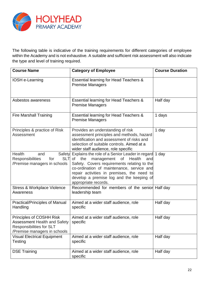

The following table is indicative of the training requirements for different categories of employee within the Academy and is not exhaustive. A suitable and sufficient risk assessment will also indicate the type and level of training required.

| <b>Course Name</b>                                                                                                                 | <b>Category of Employee</b>                                                                                                                                                                                                                                                                                        | <b>Course Duration</b> |
|------------------------------------------------------------------------------------------------------------------------------------|--------------------------------------------------------------------------------------------------------------------------------------------------------------------------------------------------------------------------------------------------------------------------------------------------------------------|------------------------|
| IOSH e-Learning                                                                                                                    | Essential learning for Head Teachers &<br><b>Premise Managers</b>                                                                                                                                                                                                                                                  |                        |
| Asbestos awareness                                                                                                                 | Essential learning for Head Teachers &<br><b>Premise Managers</b>                                                                                                                                                                                                                                                  | Half day               |
| <b>Fire Marshall Training</b>                                                                                                      | Essential learning for Head Teachers &<br><b>Premise Managers</b>                                                                                                                                                                                                                                                  | 1 days                 |
| Principles & practice of Risk<br>Assessment                                                                                        | Provides an understanding of risk<br>assessment principles and methods, hazard<br>identification and assessment of risks and<br>selection of suitable controls. Aimed at a<br>wider staff audience, role specific                                                                                                  | 1 day                  |
| Health<br>and<br>SLT of<br><b>Responsibilities</b><br>for<br>/Premise managers in schools                                          | Safety Explains the role of a Senior Leader in regard 1 day<br>the<br>management of<br>Health<br>and<br>Safety. Covers requirements relating to the<br>co-ordination of maintenance, service and<br>repair activities in premises, the need to<br>develop a premise log and the keeping of<br>appropriate records. |                        |
| Stress & Workplace Violence<br>Awareness                                                                                           | Recommended for members of the senior Half day<br>leadership team                                                                                                                                                                                                                                                  |                        |
| Practical/Principles of Manual<br>Handling                                                                                         | Aimed at a wider staff audience, role<br>specific                                                                                                                                                                                                                                                                  | Half day               |
| <b>Principles of COSHH Risk</b><br>Assessment Health and Safety<br><b>Responsibilities for SLT</b><br>/Premise managers in schools | Aimed at a wider staff audience, role<br>specific                                                                                                                                                                                                                                                                  | Half day               |
| <b>Visual Electrical Equipment</b><br>Testing                                                                                      | Aimed at a wider staff audience, role<br>specific                                                                                                                                                                                                                                                                  | Half day               |
| <b>DSE Training</b>                                                                                                                | Aimed at a wider staff audience, role<br>specific                                                                                                                                                                                                                                                                  | Half day               |